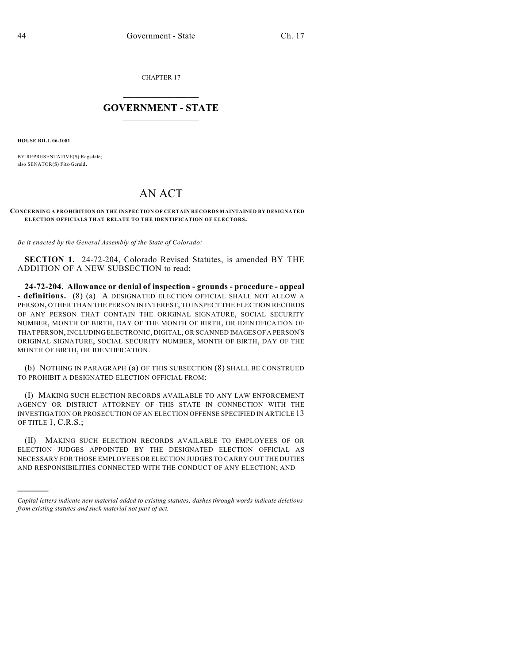CHAPTER 17

## $\mathcal{L}_\text{max}$  . The set of the set of the set of the set of the set of the set of the set of the set of the set of the set of the set of the set of the set of the set of the set of the set of the set of the set of the set **GOVERNMENT - STATE**  $\_$   $\_$

**HOUSE BILL 06-1081**

)))))

BY REPRESENTATIVE(S) Ragsdale; also SENATOR(S) Fitz-Gerald.

## AN ACT

## **CONCERNING A PROHIBITION ON THE INSPECTION OF CERTAIN RECORDS MAINTAINED BY DESIGNATED ELECTION OFFICIALS THAT RELATE TO THE IDENTIFICATION OF ELECTORS.**

*Be it enacted by the General Assembly of the State of Colorado:*

**SECTION 1.** 24-72-204, Colorado Revised Statutes, is amended BY THE ADDITION OF A NEW SUBSECTION to read:

**24-72-204. Allowance or denial of inspection - grounds - procedure - appeal - definitions.** (8) (a) A DESIGNATED ELECTION OFFICIAL SHALL NOT ALLOW A PERSON, OTHER THAN THE PERSON IN INTEREST, TO INSPECT THE ELECTION RECORDS OF ANY PERSON THAT CONTAIN THE ORIGINAL SIGNATURE, SOCIAL SECURITY NUMBER, MONTH OF BIRTH, DAY OF THE MONTH OF BIRTH, OR IDENTIFICATION OF THAT PERSON, INCLUDING ELECTRONIC, DIGITAL, OR SCANNED IMAGES OF A PERSON'S ORIGINAL SIGNATURE, SOCIAL SECURITY NUMBER, MONTH OF BIRTH, DAY OF THE MONTH OF BIRTH, OR IDENTIFICATION.

(b) NOTHING IN PARAGRAPH (a) OF THIS SUBSECTION (8) SHALL BE CONSTRUED TO PROHIBIT A DESIGNATED ELECTION OFFICIAL FROM:

(I) MAKING SUCH ELECTION RECORDS AVAILABLE TO ANY LAW ENFORCEMENT AGENCY OR DISTRICT ATTORNEY OF THIS STATE IN CONNECTION WITH THE INVESTIGATION OR PROSECUTION OF AN ELECTION OFFENSE SPECIFIED IN ARTICLE 13 OF TITLE 1, C.R.S.;

(II) MAKING SUCH ELECTION RECORDS AVAILABLE TO EMPLOYEES OF OR ELECTION JUDGES APPOINTED BY THE DESIGNATED ELECTION OFFICIAL AS NECESSARY FOR THOSE EMPLOYEES OR ELECTION JUDGES TO CARRY OUT THE DUTIES AND RESPONSIBILITIES CONNECTED WITH THE CONDUCT OF ANY ELECTION; AND

*Capital letters indicate new material added to existing statutes; dashes through words indicate deletions from existing statutes and such material not part of act.*